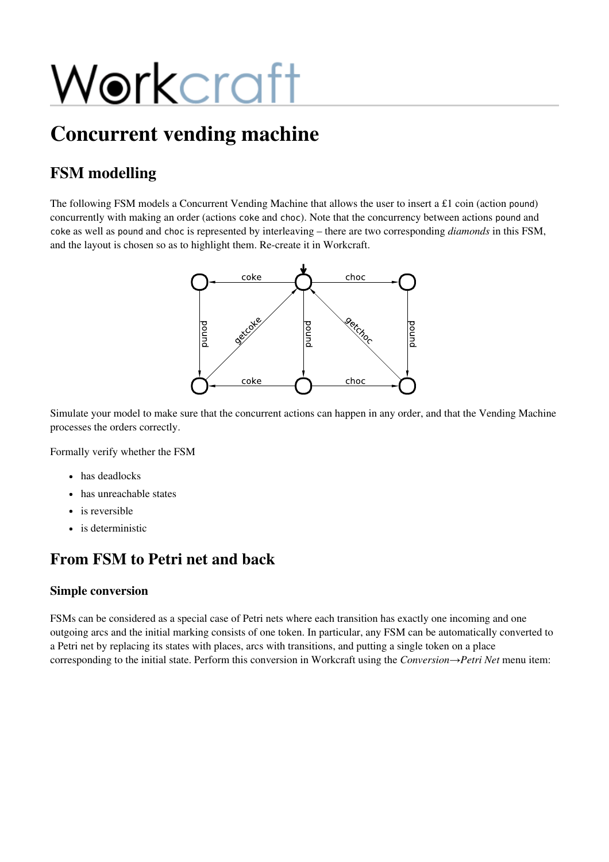# Workcraft

## Concurrent vending machine

## FSM modelling

The following FSM models a Concurrent Vending Machine that allows the user to insert a £1 coin (action pound) concurrently with making an order (actions cokeand choc). Note that the concurrency between actions poundand coke as well as pound and choc is represented by interleaving – there are two corresponding *diamonds* in this FSM, and the layout is chosen so as to highlight them. Re-create it in Workcraft.



Simulate your model to make sure that the concurrent actions can happen in any order, and that the Vending Machine processes the orders correctly.

Formally verify whether the FSM

- has deadlocks
- has unreachable states
- is reversible
- is deterministic

## From FSM to Petri net and back

### Simple conversion

FSMs can be considered as a special case of Petri nets where each transition has exactly one incoming and one outgoing arcs and the initial marking consists of one token. In particular, any FSM can be automatically converted to a Petri net by replacing its states with places, arcs with transitions, and putting a single token on a place corresponding to the initial state. Perform this conversion in Workcraft using the *Conversion→Petri Net* menu item: